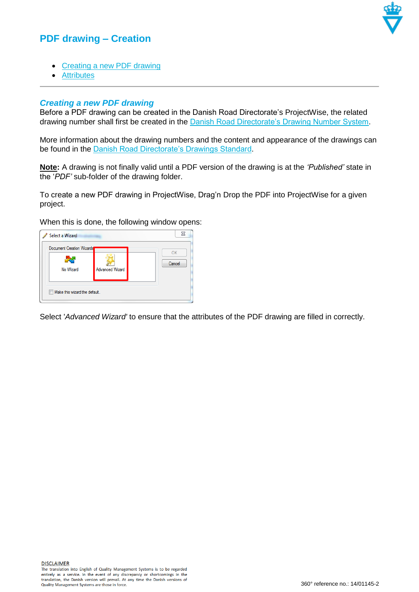## **PDF drawing – Creation**



- [Creating a new PDF drawing](#page-0-0)
- [Attributes](#page-1-0)

## <span id="page-0-0"></span>*Creating a new PDF drawing*

Before a PDF drawing can be created in the Danish Road Directorate's ProjectWise, the related drawing number shall first be created in the [Danish Road Directorate's Drawing Number System.](http://tn.vd.dk/)

More information about the drawing numbers and the content and appearance of the drawings can be found in the [Danish Road Directorate's Drawings Standard.](http://ts.vejdirektoratet.dk/)

**Note:** A drawing is not finally valid until a PDF version of the drawing is at the *'Published'* state in the '*PDF'* sub-folder of the drawing folder.

To create a new PDF drawing in ProjectWise, Drag'n Drop the PDF into ProjectWise for a given project.

When this is done, the following window opens:



Select '*Advanced Wizard'* to ensure that the attributes of the PDF drawing are filled in correctly.